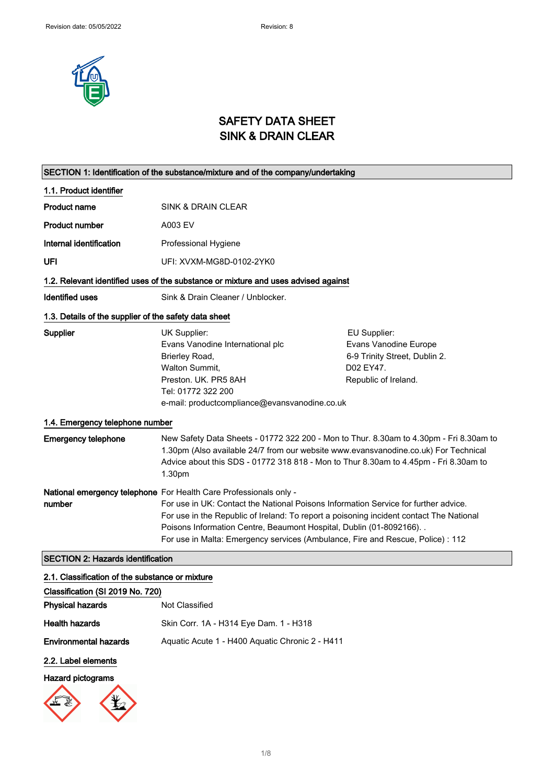

## SAFETY DATA SHEET SINK & DRAIN CLEAR

| SECTION 1: Identification of the substance/mixture and of the company/undertaking |                                                                                                                                                                                                                                                                                                                                                                                                                 |                                                                                                             |
|-----------------------------------------------------------------------------------|-----------------------------------------------------------------------------------------------------------------------------------------------------------------------------------------------------------------------------------------------------------------------------------------------------------------------------------------------------------------------------------------------------------------|-------------------------------------------------------------------------------------------------------------|
| 1.1. Product identifier                                                           |                                                                                                                                                                                                                                                                                                                                                                                                                 |                                                                                                             |
| <b>Product name</b>                                                               | SINK & DRAIN CLEAR                                                                                                                                                                                                                                                                                                                                                                                              |                                                                                                             |
| <b>Product number</b>                                                             | A003 EV                                                                                                                                                                                                                                                                                                                                                                                                         |                                                                                                             |
| Internal identification                                                           | Professional Hygiene                                                                                                                                                                                                                                                                                                                                                                                            |                                                                                                             |
| UFI                                                                               | UFI: XVXM-MG8D-0102-2YK0                                                                                                                                                                                                                                                                                                                                                                                        |                                                                                                             |
|                                                                                   | 1.2. Relevant identified uses of the substance or mixture and uses advised against                                                                                                                                                                                                                                                                                                                              |                                                                                                             |
| <b>Identified uses</b>                                                            | Sink & Drain Cleaner / Unblocker.                                                                                                                                                                                                                                                                                                                                                                               |                                                                                                             |
| 1.3. Details of the supplier of the safety data sheet                             |                                                                                                                                                                                                                                                                                                                                                                                                                 |                                                                                                             |
| Supplier                                                                          | UK Supplier:<br>Evans Vanodine International plc<br>Brierley Road,<br><b>Walton Summit.</b><br>Preston. UK. PR5 8AH<br>Tel: 01772 322 200<br>e-mail: productcompliance@evansvanodine.co.uk                                                                                                                                                                                                                      | EU Supplier:<br>Evans Vanodine Europe<br>6-9 Trinity Street, Dublin 2.<br>D02 EY47.<br>Republic of Ireland. |
| 1.4. Emergency telephone number                                                   |                                                                                                                                                                                                                                                                                                                                                                                                                 |                                                                                                             |
| <b>Emergency telephone</b>                                                        | 1.30pm (Also available 24/7 from our website www.evansvanodine.co.uk) For Technical<br>Advice about this SDS - 01772 318 818 - Mon to Thur 8.30am to 4.45pm - Fri 8.30am to<br>1.30pm                                                                                                                                                                                                                           | New Safety Data Sheets - 01772 322 200 - Mon to Thur. 8.30am to 4.30pm - Fri 8.30am to                      |
| number                                                                            | National emergency telephone For Health Care Professionals only -<br>For use in UK: Contact the National Poisons Information Service for further advice.<br>For use in the Republic of Ireland: To report a poisoning incident contact The National<br>Poisons Information Centre, Beaumont Hospital, Dublin (01-8092166). .<br>For use in Malta: Emergency services (Ambulance, Fire and Rescue, Police) : 112 |                                                                                                             |
| <b>SECTION 2: Hazards identification</b>                                          |                                                                                                                                                                                                                                                                                                                                                                                                                 |                                                                                                             |
| 2.1. Classification of the substance or mixture                                   |                                                                                                                                                                                                                                                                                                                                                                                                                 |                                                                                                             |
| Classification (SI 2019 No. 720)                                                  |                                                                                                                                                                                                                                                                                                                                                                                                                 |                                                                                                             |

| Classification (SI 2019 No. 720) |                                                 |
|----------------------------------|-------------------------------------------------|
| <b>Physical hazards</b>          | Not Classified                                  |
| <b>Health hazards</b>            | Skin Corr. 1A - H314 Eye Dam. 1 - H318          |
| <b>Environmental hazards</b>     | Aguatic Acute 1 - H400 Aguatic Chronic 2 - H411 |
|                                  |                                                 |

### 2.2. Label elements

### Hazard pictograms

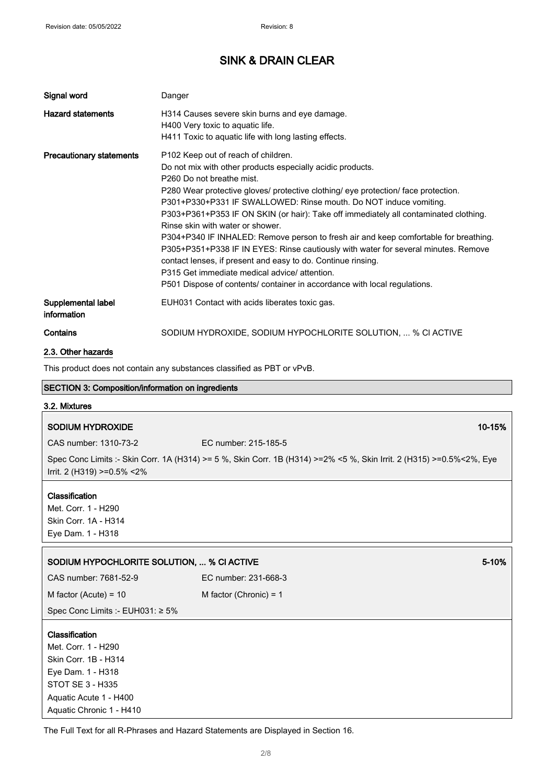| Signal word                       | Danger                                                                                                                                                                                                                                                                                                                                                                                                                                                                                                                                                                                                                                                                                                                                                                                                       |
|-----------------------------------|--------------------------------------------------------------------------------------------------------------------------------------------------------------------------------------------------------------------------------------------------------------------------------------------------------------------------------------------------------------------------------------------------------------------------------------------------------------------------------------------------------------------------------------------------------------------------------------------------------------------------------------------------------------------------------------------------------------------------------------------------------------------------------------------------------------|
| <b>Hazard statements</b>          | H314 Causes severe skin burns and eye damage.<br>H400 Very toxic to aquatic life.<br>H411 Toxic to aquatic life with long lasting effects.                                                                                                                                                                                                                                                                                                                                                                                                                                                                                                                                                                                                                                                                   |
| <b>Precautionary statements</b>   | P <sub>102</sub> Keep out of reach of children.<br>Do not mix with other products especially acidic products.<br>P260 Do not breathe mist.<br>P280 Wear protective gloves/ protective clothing/ eye protection/ face protection.<br>P301+P330+P331 IF SWALLOWED: Rinse mouth. Do NOT induce vomiting.<br>P303+P361+P353 IF ON SKIN (or hair): Take off immediately all contaminated clothing.<br>Rinse skin with water or shower.<br>P304+P340 IF INHALED: Remove person to fresh air and keep comfortable for breathing.<br>P305+P351+P338 IF IN EYES: Rinse cautiously with water for several minutes. Remove<br>contact lenses, if present and easy to do. Continue rinsing.<br>P315 Get immediate medical advice/attention.<br>P501 Dispose of contents/ container in accordance with local regulations. |
| Supplemental label<br>information | EUH031 Contact with acids liberates toxic gas.                                                                                                                                                                                                                                                                                                                                                                                                                                                                                                                                                                                                                                                                                                                                                               |
| Contains                          | SODIUM HYDROXIDE, SODIUM HYPOCHLORITE SOLUTION,  % CI ACTIVE                                                                                                                                                                                                                                                                                                                                                                                                                                                                                                                                                                                                                                                                                                                                                 |
| 2.3. Other hazards                |                                                                                                                                                                                                                                                                                                                                                                                                                                                                                                                                                                                                                                                                                                                                                                                                              |

This product does not contain any substances classified as PBT or vPvB.

| SECTION 3: Composition/information on ingredients                                                                                |                                                                                                                      |        |
|----------------------------------------------------------------------------------------------------------------------------------|----------------------------------------------------------------------------------------------------------------------|--------|
| 3.2. Mixtures                                                                                                                    |                                                                                                                      |        |
| <b>SODIUM HYDROXIDE</b>                                                                                                          |                                                                                                                      | 10-15% |
| CAS number: 1310-73-2                                                                                                            | EC number: 215-185-5                                                                                                 |        |
| Irrit. 2 (H319) >=0.5% <2%                                                                                                       | Spec Conc Limits :- Skin Corr. 1A (H314) >= 5 %, Skin Corr. 1B (H314) >=2% <5 %, Skin Irrit. 2 (H315) >=0.5%<2%, Eye |        |
| Classification<br>Met. Corr. 1 - H290<br>Skin Corr. 1A - H314<br>Eye Dam. 1 - H318                                               |                                                                                                                      |        |
|                                                                                                                                  |                                                                                                                      |        |
| SODIUM HYPOCHLORITE SOLUTION,  % CI ACTIVE                                                                                       |                                                                                                                      | 5-10%  |
| CAS number: 7681-52-9                                                                                                            | EC number: 231-668-3                                                                                                 |        |
| M factor (Acute) = $10$                                                                                                          | M factor (Chronic) = $1$                                                                                             |        |
| Spec Conc Limits :- EUH031: ≥ 5%                                                                                                 |                                                                                                                      |        |
| Classification<br>Met. Corr. 1 - H290<br>Skin Corr. 1B - H314<br>Eye Dam. 1 - H318<br>STOT SE 3 - H335<br>Aquatic Acute 1 - H400 |                                                                                                                      |        |

٦

The Full Text for all R-Phrases and Hazard Statements are Displayed in Section 16.

Aquatic Chronic 1 - H410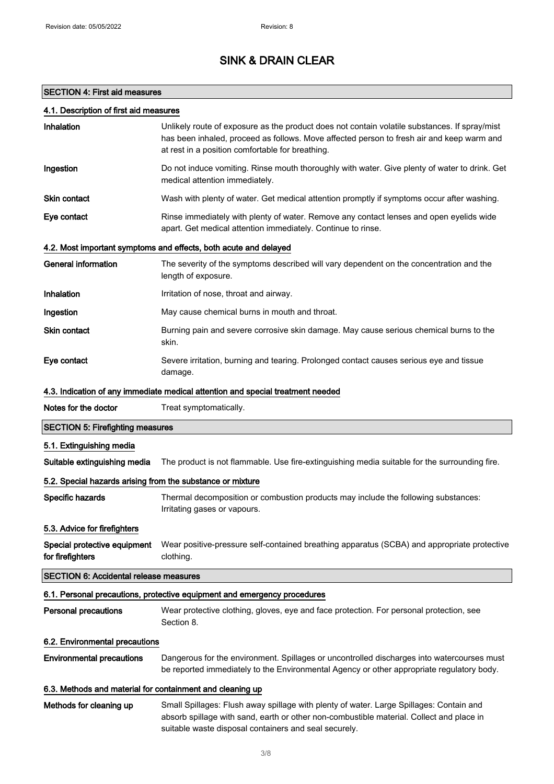### SECTION 4: First aid measures

### 4.1. Description of first aid measures

| Inhalation                                                 | Unlikely route of exposure as the product does not contain volatile substances. If spray/mist<br>has been inhaled, proceed as follows. Move affected person to fresh air and keep warm and<br>at rest in a position comfortable for breathing. |
|------------------------------------------------------------|------------------------------------------------------------------------------------------------------------------------------------------------------------------------------------------------------------------------------------------------|
| Ingestion                                                  | Do not induce vomiting. Rinse mouth thoroughly with water. Give plenty of water to drink. Get<br>medical attention immediately.                                                                                                                |
| Skin contact                                               | Wash with plenty of water. Get medical attention promptly if symptoms occur after washing.                                                                                                                                                     |
| Eye contact                                                | Rinse immediately with plenty of water. Remove any contact lenses and open eyelids wide<br>apart. Get medical attention immediately. Continue to rinse.                                                                                        |
|                                                            | 4.2. Most important symptoms and effects, both acute and delayed                                                                                                                                                                               |
| <b>General information</b>                                 | The severity of the symptoms described will vary dependent on the concentration and the<br>length of exposure.                                                                                                                                 |
| Inhalation                                                 | Irritation of nose, throat and airway.                                                                                                                                                                                                         |
| Ingestion                                                  | May cause chemical burns in mouth and throat.                                                                                                                                                                                                  |
| Skin contact                                               | Burning pain and severe corrosive skin damage. May cause serious chemical burns to the<br>skin.                                                                                                                                                |
| Eye contact                                                | Severe irritation, burning and tearing. Prolonged contact causes serious eye and tissue<br>damage.                                                                                                                                             |
|                                                            | 4.3. Indication of any immediate medical attention and special treatment needed                                                                                                                                                                |
| Notes for the doctor                                       | Treat symptomatically.                                                                                                                                                                                                                         |
| <b>SECTION 5: Firefighting measures</b>                    |                                                                                                                                                                                                                                                |
| 5.1. Extinguishing media                                   |                                                                                                                                                                                                                                                |
| Suitable extinguishing media                               | The product is not flammable. Use fire-extinguishing media suitable for the surrounding fire.                                                                                                                                                  |
| 5.2. Special hazards arising from the substance or mixture |                                                                                                                                                                                                                                                |
| Specific hazards                                           | Thermal decomposition or combustion products may include the following substances:<br>Irritating gases or vapours.                                                                                                                             |
| 5.3. Advice for firefighters                               |                                                                                                                                                                                                                                                |
| Special protective equipment<br>for firefighters           | Wear positive-pressure self-contained breathing apparatus (SCBA) and appropriate protective<br>clothing.                                                                                                                                       |
| <b>SECTION 6: Accidental release measures</b>              |                                                                                                                                                                                                                                                |
|                                                            | 6.1. Personal precautions, protective equipment and emergency procedures                                                                                                                                                                       |
| Personal precautions                                       | Wear protective clothing, gloves, eye and face protection. For personal protection, see<br>Section 8.                                                                                                                                          |
| 6.2. Environmental precautions                             |                                                                                                                                                                                                                                                |
| <b>Environmental precautions</b>                           | Dangerous for the environment. Spillages or uncontrolled discharges into watercourses must<br>be reported immediately to the Environmental Agency or other appropriate regulatory body.                                                        |
| 6.3. Methods and material for containment and cleaning up  |                                                                                                                                                                                                                                                |
| Methods for cleaning up                                    | Small Spillages: Flush away spillage with plenty of water. Large Spillages: Contain and<br>absorb spillage with sand, earth or other non-combustible material. Collect and place in<br>suitable waste disposal containers and seal securely.   |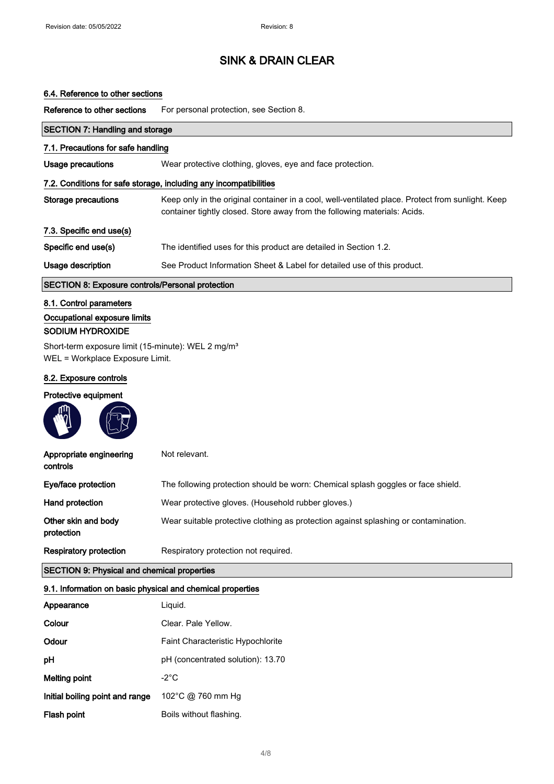#### 6.4. Reference to other sections

Reference to other sections For personal protection, see Section 8.

| <b>SECTION 7: Handling and storage</b>                                                            |                                                                                                                                                                                |  |
|---------------------------------------------------------------------------------------------------|--------------------------------------------------------------------------------------------------------------------------------------------------------------------------------|--|
| 7.1. Precautions for safe handling                                                                |                                                                                                                                                                                |  |
| <b>Usage precautions</b>                                                                          | Wear protective clothing, gloves, eye and face protection.                                                                                                                     |  |
|                                                                                                   | 7.2. Conditions for safe storage, including any incompatibilities                                                                                                              |  |
| <b>Storage precautions</b>                                                                        | Keep only in the original container in a cool, well-ventilated place. Protect from sunlight. Keep<br>container tightly closed. Store away from the following materials: Acids. |  |
| 7.3. Specific end use(s)                                                                          |                                                                                                                                                                                |  |
| Specific end use(s)                                                                               | The identified uses for this product are detailed in Section 1.2.                                                                                                              |  |
| Usage description                                                                                 | See Product Information Sheet & Label for detailed use of this product.                                                                                                        |  |
| <b>SECTION 8: Exposure controls/Personal protection</b>                                           |                                                                                                                                                                                |  |
| 8.1. Control parameters                                                                           |                                                                                                                                                                                |  |
| Occupational exposure limits                                                                      |                                                                                                                                                                                |  |
| <b>SODIUM HYDROXIDE</b>                                                                           |                                                                                                                                                                                |  |
| Short-term exposure limit (15-minute): WEL 2 mg/m <sup>3</sup><br>WEL = Workplace Exposure Limit. |                                                                                                                                                                                |  |
| 8.2. Exposure controls                                                                            |                                                                                                                                                                                |  |
| Protective equipment                                                                              |                                                                                                                                                                                |  |
|                                                                                                   |                                                                                                                                                                                |  |
| Appropriate engineering<br>controls                                                               | Not relevant.                                                                                                                                                                  |  |
| Eye/face protection                                                                               | The following protection should be worn: Chemical splash goggles or face shield.                                                                                               |  |
| Hand protection                                                                                   | Wear protective gloves. (Household rubber gloves.)                                                                                                                             |  |
| Other skin and body<br>protection                                                                 | Wear suitable protective clothing as protection against splashing or contamination.                                                                                            |  |
| <b>Respiratory protection</b>                                                                     | Respiratory protection not required.                                                                                                                                           |  |

### SECTION 9: Physical and chemical properties

#### 9.1. Information on basic physical and chemical properties

| Appearance                      | Liquid.                                  |
|---------------------------------|------------------------------------------|
| Colour                          | Clear, Pale Yellow.                      |
| Odour                           | <b>Faint Characteristic Hypochlorite</b> |
| рH                              | pH (concentrated solution): 13.70        |
| Melting point                   | -2°C                                     |
| Initial boiling point and range | 102°C @ 760 mm Hg                        |
| Flash point                     | Boils without flashing.                  |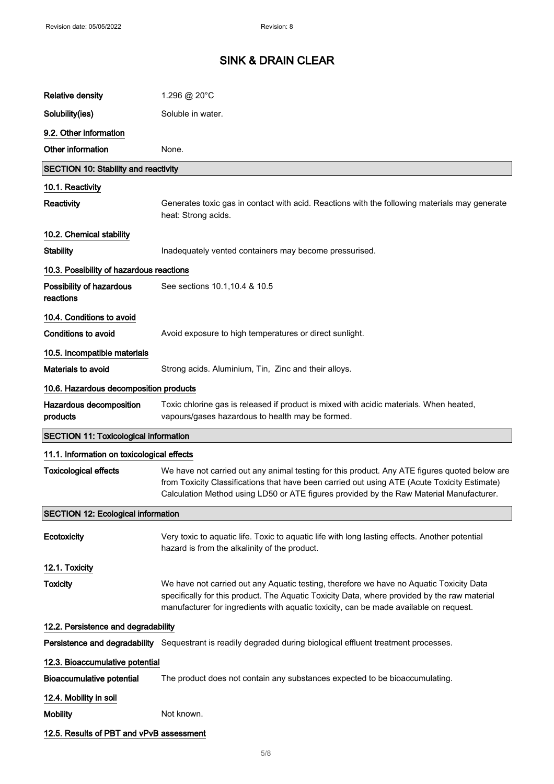| <b>Relative density</b>                      | 1.296 @ 20°C                                                                                                                                                                                                                                                                             |
|----------------------------------------------|------------------------------------------------------------------------------------------------------------------------------------------------------------------------------------------------------------------------------------------------------------------------------------------|
| Solubility(ies)                              | Soluble in water.                                                                                                                                                                                                                                                                        |
| 9.2. Other information                       |                                                                                                                                                                                                                                                                                          |
| Other information                            | None.                                                                                                                                                                                                                                                                                    |
| <b>SECTION 10: Stability and reactivity</b>  |                                                                                                                                                                                                                                                                                          |
| 10.1. Reactivity                             |                                                                                                                                                                                                                                                                                          |
| <b>Reactivity</b>                            | Generates toxic gas in contact with acid. Reactions with the following materials may generate<br>heat: Strong acids.                                                                                                                                                                     |
| 10.2. Chemical stability                     |                                                                                                                                                                                                                                                                                          |
| <b>Stability</b>                             | Inadequately vented containers may become pressurised.                                                                                                                                                                                                                                   |
| 10.3. Possibility of hazardous reactions     |                                                                                                                                                                                                                                                                                          |
| Possibility of hazardous<br>reactions        | See sections 10.1, 10.4 & 10.5                                                                                                                                                                                                                                                           |
| 10.4. Conditions to avoid                    |                                                                                                                                                                                                                                                                                          |
| <b>Conditions to avoid</b>                   | Avoid exposure to high temperatures or direct sunlight.                                                                                                                                                                                                                                  |
| 10.5. Incompatible materials                 |                                                                                                                                                                                                                                                                                          |
| <b>Materials to avoid</b>                    | Strong acids. Aluminium, Tin, Zinc and their alloys.                                                                                                                                                                                                                                     |
| 10.6. Hazardous decomposition products       |                                                                                                                                                                                                                                                                                          |
| Hazardous decomposition<br>products          | Toxic chlorine gas is released if product is mixed with acidic materials. When heated,<br>vapours/gases hazardous to health may be formed.                                                                                                                                               |
| <b>SECTION 11: Toxicological information</b> |                                                                                                                                                                                                                                                                                          |
| 11.1. Information on toxicological effects   |                                                                                                                                                                                                                                                                                          |
| <b>Toxicological effects</b>                 | We have not carried out any animal testing for this product. Any ATE figures quoted below are<br>from Toxicity Classifications that have been carried out using ATE (Acute Toxicity Estimate)<br>Calculation Method using LD50 or ATE figures provided by the Raw Material Manufacturer. |
| <b>SECTION 12: Ecological information</b>    |                                                                                                                                                                                                                                                                                          |
| Ecotoxicity                                  | Very toxic to aquatic life. Toxic to aquatic life with long lasting effects. Another potential<br>hazard is from the alkalinity of the product.                                                                                                                                          |
| 12.1. Toxicity                               |                                                                                                                                                                                                                                                                                          |
| <b>Toxicity</b>                              | We have not carried out any Aquatic testing, therefore we have no Aquatic Toxicity Data<br>specifically for this product. The Aquatic Toxicity Data, where provided by the raw material<br>manufacturer for ingredients with aquatic toxicity, can be made available on request.         |
| 12.2. Persistence and degradability          |                                                                                                                                                                                                                                                                                          |
|                                              | Persistence and degradability Sequestrant is readily degraded during biological effluent treatment processes.                                                                                                                                                                            |
| 12.3. Bioaccumulative potential              |                                                                                                                                                                                                                                                                                          |
| <b>Bioaccumulative potential</b>             | The product does not contain any substances expected to be bioaccumulating.                                                                                                                                                                                                              |
| 12.4. Mobility in soil                       |                                                                                                                                                                                                                                                                                          |
| <b>Mobility</b>                              | Not known.                                                                                                                                                                                                                                                                               |
| 12.5. Results of PBT and vPvB assessment     |                                                                                                                                                                                                                                                                                          |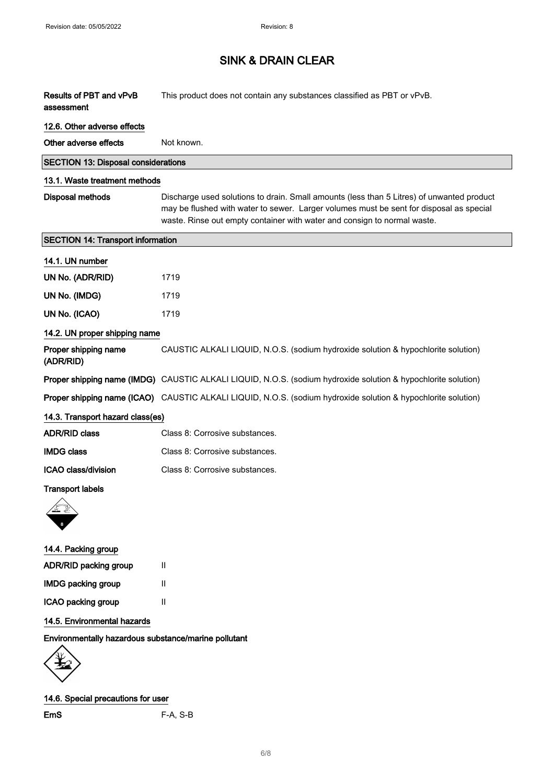| Results of PBT and vPvB<br>assessment                | This product does not contain any substances classified as PBT or vPvB.                                                                                                                                                                                          |
|------------------------------------------------------|------------------------------------------------------------------------------------------------------------------------------------------------------------------------------------------------------------------------------------------------------------------|
| 12.6. Other adverse effects                          |                                                                                                                                                                                                                                                                  |
| Other adverse effects                                | Not known.                                                                                                                                                                                                                                                       |
| <b>SECTION 13: Disposal considerations</b>           |                                                                                                                                                                                                                                                                  |
| 13.1. Waste treatment methods                        |                                                                                                                                                                                                                                                                  |
| <b>Disposal methods</b>                              | Discharge used solutions to drain. Small amounts (less than 5 Litres) of unwanted product<br>may be flushed with water to sewer. Larger volumes must be sent for disposal as special<br>waste. Rinse out empty container with water and consign to normal waste. |
| <b>SECTION 14: Transport information</b>             |                                                                                                                                                                                                                                                                  |
| 14.1. UN number                                      |                                                                                                                                                                                                                                                                  |
| UN No. (ADR/RID)                                     | 1719                                                                                                                                                                                                                                                             |
| UN No. (IMDG)                                        | 1719                                                                                                                                                                                                                                                             |
| UN No. (ICAO)                                        | 1719                                                                                                                                                                                                                                                             |
| 14.2. UN proper shipping name                        |                                                                                                                                                                                                                                                                  |
| Proper shipping name<br>(ADR/RID)                    | CAUSTIC ALKALI LIQUID, N.O.S. (sodium hydroxide solution & hypochlorite solution)                                                                                                                                                                                |
|                                                      | Proper shipping name (IMDG) CAUSTIC ALKALI LIQUID, N.O.S. (sodium hydroxide solution & hypochlorite solution)                                                                                                                                                    |
|                                                      | Proper shipping name (ICAO) CAUSTIC ALKALI LIQUID, N.O.S. (sodium hydroxide solution & hypochlorite solution)                                                                                                                                                    |
| 14.3. Transport hazard class(es)                     |                                                                                                                                                                                                                                                                  |
| <b>ADR/RID class</b>                                 | Class 8: Corrosive substances.                                                                                                                                                                                                                                   |
| <b>IMDG class</b>                                    | Class 8: Corrosive substances.                                                                                                                                                                                                                                   |
| ICAO class/division                                  | Class 8: Corrosive substances.                                                                                                                                                                                                                                   |
| <b>Transport labels</b>                              |                                                                                                                                                                                                                                                                  |
| 14.4. Packing group                                  |                                                                                                                                                                                                                                                                  |
| ADR/RID packing group                                | Ш                                                                                                                                                                                                                                                                |
| <b>IMDG packing group</b>                            | $\mathbf{II}$                                                                                                                                                                                                                                                    |
| ICAO packing group                                   | $\mathbf{II}$                                                                                                                                                                                                                                                    |
| 14.5. Environmental hazards                          |                                                                                                                                                                                                                                                                  |
| Environmentally hazardous substance/marine pollutant |                                                                                                                                                                                                                                                                  |
|                                                      |                                                                                                                                                                                                                                                                  |

### 14.6. Special precautions for user

EmS F-A, S-B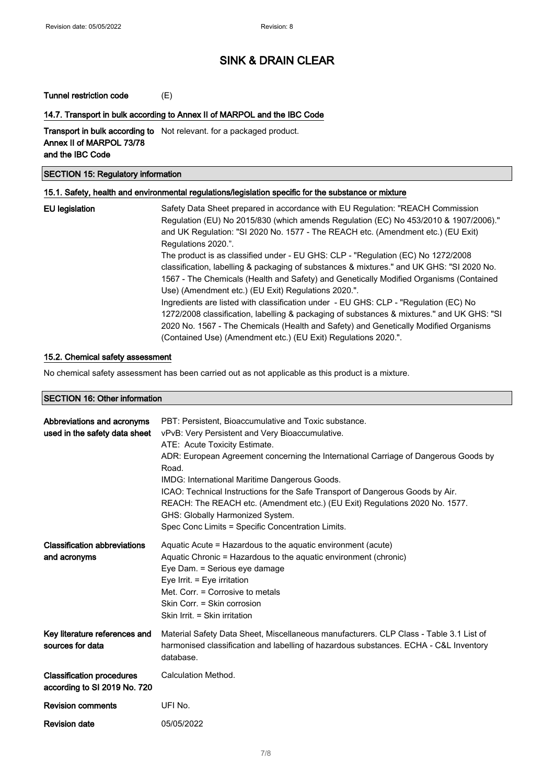#### Tunnel restriction code (E)

#### 14.7. Transport in bulk according to Annex II of MARPOL and the IBC Code

Transport in bulk according to Not relevant. for a packaged product. Annex II of MARPOL 73/78 and the IBC Code

### SECTION 15: Regulatory information

#### 15.1. Safety, health and environmental regulations/legislation specific for the substance or mixture

| <b>EU</b> legislation | Safety Data Sheet prepared in accordance with EU Regulation: "REACH Commission<br>Regulation (EU) No 2015/830 (which amends Regulation (EC) No 453/2010 & 1907/2006)."<br>and UK Regulation: "SI 2020 No. 1577 - The REACH etc. (Amendment etc.) (EU Exit)<br>Regulations 2020.".                                                            |
|-----------------------|----------------------------------------------------------------------------------------------------------------------------------------------------------------------------------------------------------------------------------------------------------------------------------------------------------------------------------------------|
|                       | The product is as classified under - EU GHS: CLP - "Regulation (EC) No 1272/2008<br>classification, labelling & packaging of substances & mixtures." and UK GHS: "SI 2020 No.<br>1567 - The Chemicals (Health and Safety) and Genetically Modified Organisms (Contained<br>Use) (Amendment etc.) (EU Exit) Regulations 2020.".               |
|                       | Ingredients are listed with classification under - EU GHS: CLP - "Regulation (EC) No<br>1272/2008 classification, labelling & packaging of substances & mixtures." and UK GHS: "SI<br>2020 No. 1567 - The Chemicals (Health and Safety) and Genetically Modified Organisms<br>(Contained Use) (Amendment etc.) (EU Exit) Regulations 2020.". |

#### 15.2. Chemical safety assessment

No chemical safety assessment has been carried out as not applicable as this product is a mixture.

#### SECTION 16: Other information

| Abbreviations and acronyms<br>used in the safety data sheet      | PBT: Persistent, Bioaccumulative and Toxic substance.<br>vPvB: Very Persistent and Very Bioaccumulative.<br>ATE: Acute Toxicity Estimate.<br>ADR: European Agreement concerning the International Carriage of Dangerous Goods by<br>Road.<br><b>IMDG: International Maritime Dangerous Goods.</b><br>ICAO: Technical Instructions for the Safe Transport of Dangerous Goods by Air.<br>REACH: The REACH etc. (Amendment etc.) (EU Exit) Regulations 2020 No. 1577.<br>GHS: Globally Harmonized System.<br>Spec Conc Limits = Specific Concentration Limits. |
|------------------------------------------------------------------|-------------------------------------------------------------------------------------------------------------------------------------------------------------------------------------------------------------------------------------------------------------------------------------------------------------------------------------------------------------------------------------------------------------------------------------------------------------------------------------------------------------------------------------------------------------|
| <b>Classification abbreviations</b><br>and acronyms              | Aquatic Acute = Hazardous to the aquatic environment (acute)<br>Aquatic Chronic = Hazardous to the aquatic environment (chronic)<br>Eye Dam. = Serious eye damage<br>Eye Irrit. $=$ Eye irritation<br>Met. Corr. = Corrosive to metals<br>Skin Corr. = Skin corrosion<br>Skin Irrit. = Skin irritation                                                                                                                                                                                                                                                      |
| Key literature references and<br>sources for data                | Material Safety Data Sheet, Miscellaneous manufacturers. CLP Class - Table 3.1 List of<br>harmonised classification and labelling of hazardous substances. ECHA - C&L Inventory<br>database.                                                                                                                                                                                                                                                                                                                                                                |
| <b>Classification procedures</b><br>according to SI 2019 No. 720 | Calculation Method.                                                                                                                                                                                                                                                                                                                                                                                                                                                                                                                                         |
| <b>Revision comments</b>                                         | UFI No.                                                                                                                                                                                                                                                                                                                                                                                                                                                                                                                                                     |
| <b>Revision date</b>                                             | 05/05/2022                                                                                                                                                                                                                                                                                                                                                                                                                                                                                                                                                  |